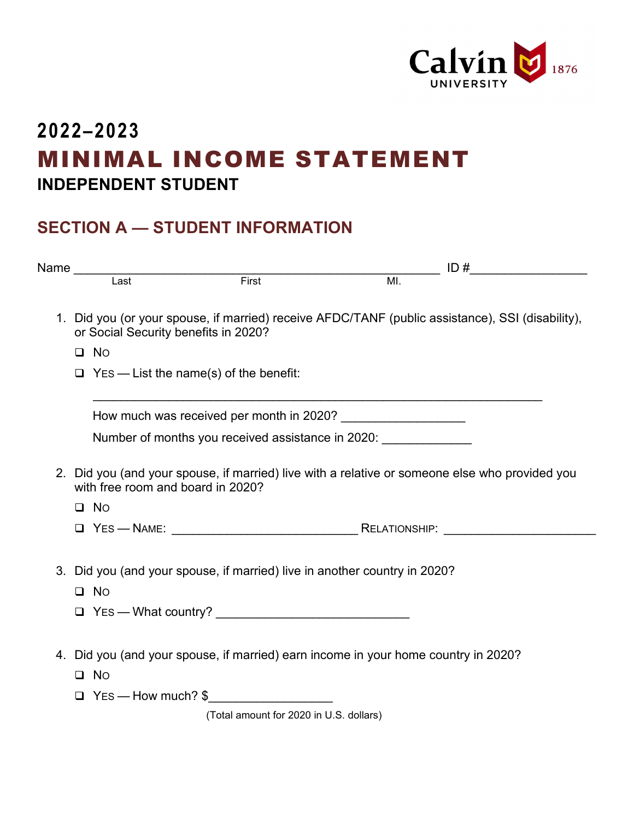

## **2022–2023** MINIMAL INCOME STATEMENT **INDEPENDENT STUDENT**

## **SECTION A — STUDENT INFORMATION**

|                                                                                                                                          | Name<br>Last First First                                                  | $\frac{1D#1}{M!}$ ID # |  |  |
|------------------------------------------------------------------------------------------------------------------------------------------|---------------------------------------------------------------------------|------------------------|--|--|
|                                                                                                                                          |                                                                           |                        |  |  |
| 1. Did you (or your spouse, if married) receive AFDC/TANF (public assistance), SSI (disability),<br>or Social Security benefits in 2020? |                                                                           |                        |  |  |
| $\Box$ No                                                                                                                                |                                                                           |                        |  |  |
| $\Box$ Yes — List the name(s) of the benefit:                                                                                            |                                                                           |                        |  |  |
|                                                                                                                                          |                                                                           |                        |  |  |
| Number of months you received assistance in 2020: _______________                                                                        |                                                                           |                        |  |  |
| 2. Did you (and your spouse, if married) live with a relative or someone else who provided you<br>with free room and board in 2020?      |                                                                           |                        |  |  |
| $\Box$ No                                                                                                                                |                                                                           |                        |  |  |
|                                                                                                                                          |                                                                           |                        |  |  |
| $\square$ No                                                                                                                             | 3. Did you (and your spouse, if married) live in another country in 2020? |                        |  |  |
|                                                                                                                                          |                                                                           |                        |  |  |
| 4. Did you (and your spouse, if married) earn income in your home country in 2020?<br>$\Box$ No                                          |                                                                           |                        |  |  |
|                                                                                                                                          | $\Box$ Yes — How much? $\$                                                |                        |  |  |
|                                                                                                                                          | (Total amount for 2020 in U.S. dollars)                                   |                        |  |  |